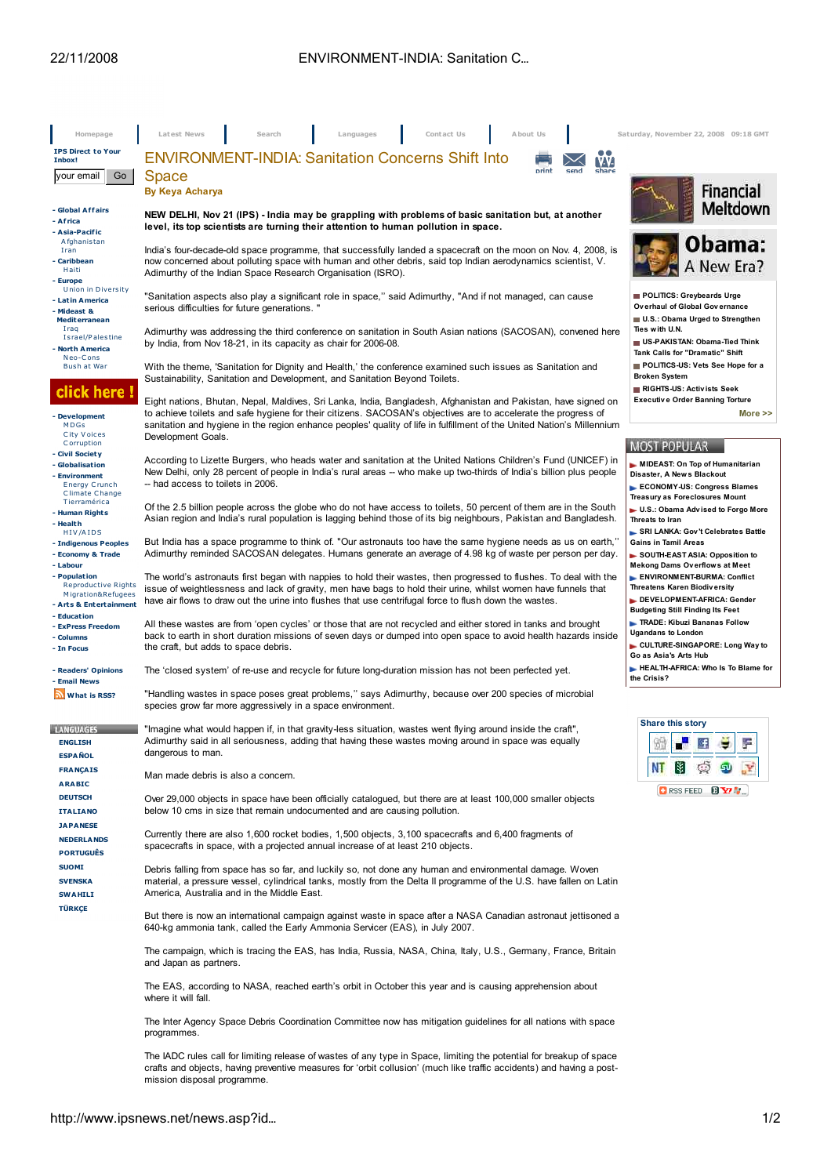| Homepage                                                                                               | Latest News<br>Search<br>Contact Us<br>A bout Us<br>Languages                                                                                                                                                                                                                                                                                              | Saturday, November 22, 2008 09:18 GMT                                                                                                       |
|--------------------------------------------------------------------------------------------------------|------------------------------------------------------------------------------------------------------------------------------------------------------------------------------------------------------------------------------------------------------------------------------------------------------------------------------------------------------------|---------------------------------------------------------------------------------------------------------------------------------------------|
| <b>IPS Direct to Your</b><br>Inbox!                                                                    | <b>ENVIRONMENT-INDIA: Sanitation Concerns Shift Into</b><br><b>VAY</b>                                                                                                                                                                                                                                                                                     |                                                                                                                                             |
| Go<br>your email                                                                                       | print<br>share<br>send<br><b>Space</b><br>By Keya Acharya                                                                                                                                                                                                                                                                                                  | Financial                                                                                                                                   |
| - Global Affairs<br>- Africa<br>- Asia-Pacific                                                         | NEW DELHI, Nov 21 (IPS) - India may be grappling with problems of basic sanitation but, at another<br>level, its top scientists are turning their attention to human pollution in space.                                                                                                                                                                   | <b>Meltdown</b>                                                                                                                             |
| A fghanistan<br>Iran<br>- Caribbean<br>Haiti<br>- Europe                                               | India's four-decade-old space programme, that successfully landed a spacecraft on the moon on Nov. 4, 2008, is<br>now concerned about polluting space with human and other debris, said top Indian aerodynamics scientist, V.<br>Adimurthy of the Indian Space Research Organisation (ISRO).                                                               | Obama:<br>A New Era?                                                                                                                        |
| <b>Union in Diversity</b><br>- Latin America<br>- Mideast &<br><b>Mediterranean</b>                    | "Sanitation aspects also play a significant role in space," said Adimurthy, "And if not managed, can cause<br>serious difficulties for future generations."                                                                                                                                                                                                | POLITICS: Greybeards Urge<br>Overhaul of Global Governance<br>U.S.: Obama Urged to Strengthen                                               |
| Iraq<br>Israel/Palestine<br>- North America<br>Neo-Cons                                                | Adimurthy was addressing the third conference on sanitation in South Asian nations (SACOSAN), convened here<br>by India, from Nov 18-21, in its capacity as chair for 2006-08.                                                                                                                                                                             | Ties with U.N.<br>US-PAKISTAN: Obama-Tied Think<br>Tank Calls for "Dramatic" Shift                                                          |
| Bush at War<br>click here !                                                                            | With the theme, 'Sanitation for Dignity and Health,' the conference examined such issues as Sanitation and<br>Sustainability, Sanitation and Development, and Sanitation Beyond Toilets.                                                                                                                                                                   | POLITICS-US: Vets See Hope for a<br><b>Broken System</b><br>RIGHTS-US: Activists Seek                                                       |
| - Development<br>MDGs<br><b>City Voices</b>                                                            | Eight nations, Bhutan, Nepal, Maldives, Sri Lanka, India, Bangladesh, Afghanistan and Pakistan, have signed on<br>to achieve toilets and safe hygiene for their citizens. SACOSAN's objectives are to accelerate the progress of<br>sanitation and hygiene in the region enhance peoples' quality of life in fulfillment of the United Nation's Millennium | <b>Executive Order Banning Torture</b><br>More $\ge$                                                                                        |
| Corruption<br>- Civil Society                                                                          | Development Goals.                                                                                                                                                                                                                                                                                                                                         | <b>MOST POPULAR</b>                                                                                                                         |
| - Globalisation<br>- Environment<br><b>Energy Crunch</b><br><b>Climate Change</b>                      | According to Lizette Burgers, who heads water and sanitation at the United Nations Children's Fund (UNICEF) in<br>New Delhi, only 28 percent of people in India's rural areas -- who make up two-thirds of India's billion plus people<br>-- had access to toilets in 2006.                                                                                | MIDEAST: On Top of Humanitarian<br>Disaster, A News Blackout<br>ECONOMY-US: Congress Blames                                                 |
| Tierramérica<br>- Human Rights<br>- Health                                                             | Of the 2.5 billion people across the globe who do not have access to toilets, 50 percent of them are in the South<br>Asian region and India's rural population is lagging behind those of its big neighbours, Pakistan and Bangladesh.                                                                                                                     | <b>Treasury as Foreclosures Mount</b><br>► U.S.: Obama Advised to Forgo More<br>Threats to Iran                                             |
| HIV/AIDS<br>- Indigenous Peoples<br>- Economy & Trade                                                  | But India has a space programme to think of. "Our astronauts too have the same hygiene needs as us on earth,"<br>Adimurthy reminded SACOSAN delegates. Humans generate an average of 4.98 kg of waste per person per day.                                                                                                                                  | SRI LANKA: Gov't Celebrates Battle<br><b>Gains in Tamil Areas</b><br>SOUTH-EAST ASIA: Opposition to<br><b>Mekong Dams Overflows at Meet</b> |
| - Labour<br>- Population<br><b>Reproductive Rights</b><br>Migration&Refugees<br>- Arts & Entertainment | The world's astronauts first began with nappies to hold their wastes, then progressed to flushes. To deal with the<br>issue of weightlessness and lack of gravity, men have bags to hold their urine, whilst women have funnels that<br>have air flows to draw out the urine into flushes that use centrifugal force to flush down the wastes.             | ENVIRONMENT-BURMA: Conflict<br><b>Threatens Karen Biodiversity</b><br>DEVELOPMENT-AFRICA: Gender<br><b>Budgeting Still Finding Its Feet</b> |
| - Education<br>- ExPress Freedom<br>- Columns<br>- In Focus                                            | All these wastes are from 'open cycles' or those that are not recycled and either stored in tanks and brought<br>back to earth in short duration missions of seven days or dumped into open space to avoid health hazards inside<br>the craft, but adds to space debris.                                                                                   | <b>TRADE: Kibuzi Bananas Follow</b><br><b>Ugandans to London</b><br>CULTURE-SINGAPORE: Long Way to                                          |
| - Readers' Opinions<br>- Email News                                                                    | The 'closed system' of re-use and recycle for future long-duration mission has not been perfected yet.                                                                                                                                                                                                                                                     | Go as Asia's Arts Hub<br>HEALTH-AFRICA: Who Is To Blame for<br>the Crisis?                                                                  |
| What is RSS?                                                                                           | "Handling wastes in space poses great problems," says Adimurthy, because over 200 species of microbial<br>species grow far more aggressively in a space environment.                                                                                                                                                                                       |                                                                                                                                             |
| <b>LANGUAGES</b><br><b>ENGLISH</b><br><b>ESPAÑOL</b>                                                   | "Imagine what would happen if, in that gravity-less situation, wastes went flying around inside the craft",<br>Adimurthy said in all seriousness, adding that having these wastes moving around in space was equally<br>dangerous to man.                                                                                                                  | <b>Share this story</b>                                                                                                                     |
| <b>FRANÇAIS</b><br><b>ARABIC</b>                                                                       | Man made debris is also a concern.                                                                                                                                                                                                                                                                                                                         | Õ<br>里<br>NT<br>50                                                                                                                          |
| <b>DEUTSCH</b><br><b>ITALIANO</b>                                                                      | Over 29,000 objects in space have been officially catalogued, but there are at least 100,000 smaller objects<br>below 10 cms in size that remain undocumented and are causing pollution.                                                                                                                                                                   | <b>D</b> RSS FEED <b>BY</b>                                                                                                                 |
| <b>JAPANESE</b><br><b>NEDERLANDS</b><br><b>PORTUGUÊS</b>                                               | Currently there are also 1,600 rocket bodies, 1,500 objects, 3,100 spacecrafts and 6,400 fragments of<br>spacecrafts in space, with a projected annual increase of at least 210 objects.                                                                                                                                                                   |                                                                                                                                             |
| <b>SUOMI</b><br><b>SVENSKA</b><br><b>SWAHILI</b>                                                       | Debris falling from space has so far, and luckily so, not done any human and environmental damage. Woven<br>material, a pressure vessel, cylindrical tanks, mostly from the Delta II programme of the U.S. have fallen on Latin<br>America, Australia and in the Middle East.                                                                              |                                                                                                                                             |
| <b>TÜRKÇE</b>                                                                                          | But there is now an international campaign against waste in space after a NASA Canadian astronaut jettisoned a<br>640-kg ammonia tank, called the Early Ammonia Servicer (EAS), in July 2007.                                                                                                                                                              |                                                                                                                                             |
|                                                                                                        | The campaign, which is tracing the EAS, has India, Russia, NASA, China, Italy, U.S., Germany, France, Britain<br>and Japan as partners.                                                                                                                                                                                                                    |                                                                                                                                             |
|                                                                                                        | The EAS, according to NASA, reached earth's orbit in October this year and is causing apprehension about<br>where it will fall.                                                                                                                                                                                                                            |                                                                                                                                             |
|                                                                                                        | The Inter Agency Space Debris Coordination Committee now has mitigation guidelines for all nations with space<br>programmes.                                                                                                                                                                                                                               |                                                                                                                                             |
|                                                                                                        | The IADC rules call for limiting release of wastes of any type in Space, limiting the potential for breakup of space<br>crafts and objects, having preventive measures for 'orbit collusion' (much like traffic accidents) and having a post-<br>mission disposal programme.                                                                               |                                                                                                                                             |